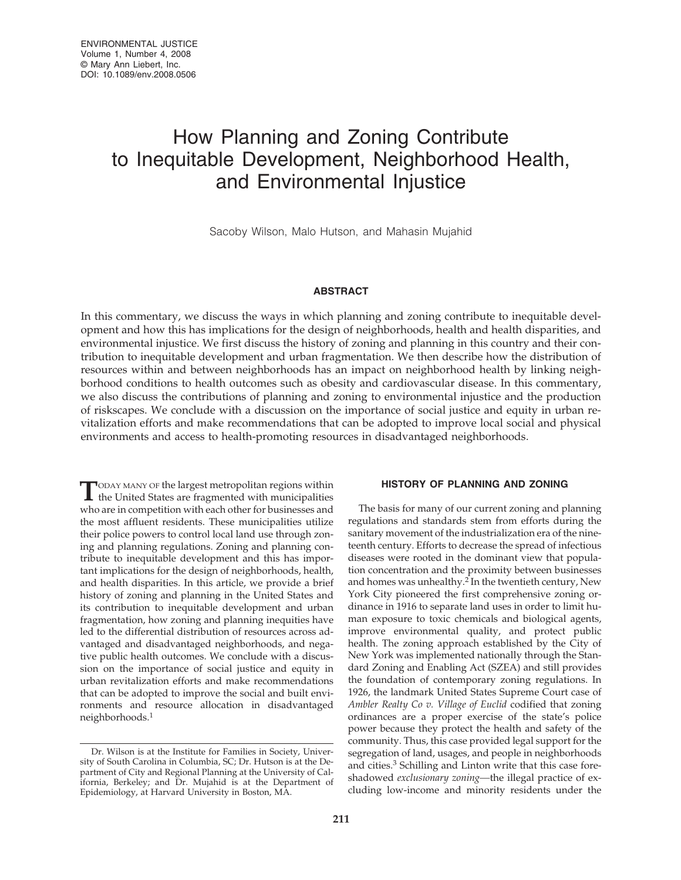# How Planning and Zoning Contribute to Inequitable Development, Neighborhood Health, and Environmental Injustice

Sacoby Wilson, Malo Hutson, and Mahasin Mujahid

#### **ABSTRACT**

In this commentary, we discuss the ways in which planning and zoning contribute to inequitable development and how this has implications for the design of neighborhoods, health and health disparities, and environmental injustice. We first discuss the history of zoning and planning in this country and their contribution to inequitable development and urban fragmentation. We then describe how the distribution of resources within and between neighborhoods has an impact on neighborhood health by linking neighborhood conditions to health outcomes such as obesity and cardiovascular disease. In this commentary, we also discuss the contributions of planning and zoning to environmental injustice and the production of riskscapes. We conclude with a discussion on the importance of social justice and equity in urban revitalization efforts and make recommendations that can be adopted to improve local social and physical environments and access to health-promoting resources in disadvantaged neighborhoods.

TODAY MANY OF the largest metropolitan regions within<br>the United States are fragmented with municipalities who are in competition with each other for businesses and the most affluent residents. These municipalities utilize their police powers to control local land use through zoning and planning regulations. Zoning and planning contribute to inequitable development and this has important implications for the design of neighborhoods, health, and health disparities. In this article, we provide a brief history of zoning and planning in the United States and its contribution to inequitable development and urban fragmentation, how zoning and planning inequities have led to the differential distribution of resources across advantaged and disadvantaged neighborhoods, and negative public health outcomes. We conclude with a discussion on the importance of social justice and equity in urban revitalization efforts and make recommendations that can be adopted to improve the social and built environments and resource allocation in disadvantaged neighborhoods.1

#### **HISTORY OF PLANNING AND ZONING**

The basis for many of our current zoning and planning regulations and standards stem from efforts during the sanitary movement of the industrialization era of the nineteenth century. Efforts to decrease the spread of infectious diseases were rooted in the dominant view that population concentration and the proximity between businesses and homes was unhealthy.<sup>2</sup> In the twentieth century, New York City pioneered the first comprehensive zoning ordinance in 1916 to separate land uses in order to limit human exposure to toxic chemicals and biological agents, improve environmental quality, and protect public health. The zoning approach established by the City of New York was implemented nationally through the Standard Zoning and Enabling Act (SZEA) and still provides the foundation of contemporary zoning regulations. In 1926, the landmark United States Supreme Court case of *Ambler Realty Co v. Village of Euclid* codified that zoning ordinances are a proper exercise of the state's police power because they protect the health and safety of the community. Thus, this case provided legal support for the segregation of land, usages, and people in neighborhoods and cities.<sup>3</sup> Schilling and Linton write that this case foreshadowed *exclusionary zoning—*the illegal practice of excluding low-income and minority residents under the

Dr. Wilson is at the Institute for Families in Society, University of South Carolina in Columbia, SC; Dr. Hutson is at the Department of City and Regional Planning at the University of California, Berkeley; and Dr. Mujahid is at the Department of Epidemiology, at Harvard University in Boston, MA.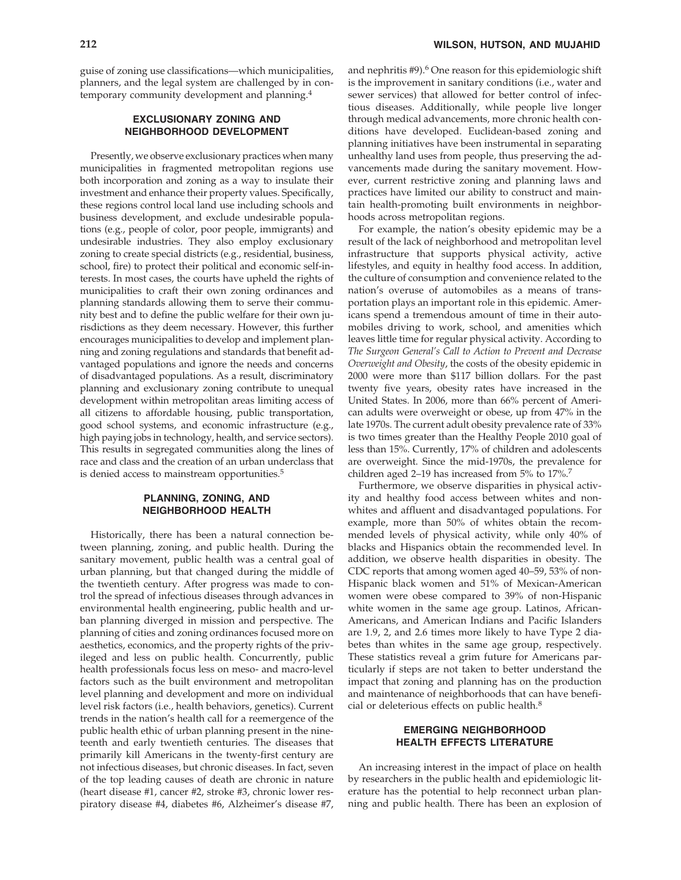guise of zoning use classifications—which municipalities, planners, and the legal system are challenged by in contemporary community development and planning.4

# **EXCLUSIONARY ZONING AND NEIGHBORHOOD DEVELOPMENT**

Presently, we observe exclusionary practices when many municipalities in fragmented metropolitan regions use both incorporation and zoning as a way to insulate their investment and enhance their property values. Specifically, these regions control local land use including schools and business development, and exclude undesirable populations (e.g., people of color, poor people, immigrants) and undesirable industries. They also employ exclusionary zoning to create special districts (e.g., residential, business, school, fire) to protect their political and economic self-interests. In most cases, the courts have upheld the rights of municipalities to craft their own zoning ordinances and planning standards allowing them to serve their community best and to define the public welfare for their own jurisdictions as they deem necessary. However, this further encourages municipalities to develop and implement planning and zoning regulations and standards that benefit advantaged populations and ignore the needs and concerns of disadvantaged populations. As a result, discriminatory planning and exclusionary zoning contribute to unequal development within metropolitan areas limiting access of all citizens to affordable housing, public transportation, good school systems, and economic infrastructure (e.g., high paying jobs in technology, health, and service sectors). This results in segregated communities along the lines of race and class and the creation of an urban underclass that is denied access to mainstream opportunities.<sup>5</sup>

# **PLANNING, ZONING, AND NEIGHBORHOOD HEALTH**

Historically, there has been a natural connection between planning, zoning, and public health. During the sanitary movement, public health was a central goal of urban planning, but that changed during the middle of the twentieth century. After progress was made to control the spread of infectious diseases through advances in environmental health engineering, public health and urban planning diverged in mission and perspective. The planning of cities and zoning ordinances focused more on aesthetics, economics, and the property rights of the privileged and less on public health. Concurrently, public health professionals focus less on meso- and macro-level factors such as the built environment and metropolitan level planning and development and more on individual level risk factors (i.e., health behaviors, genetics). Current trends in the nation's health call for a reemergence of the public health ethic of urban planning present in the nineteenth and early twentieth centuries. The diseases that primarily kill Americans in the twenty-first century are not infectious diseases, but chronic diseases. In fact, seven of the top leading causes of death are chronic in nature (heart disease #1, cancer #2, stroke #3, chronic lower respiratory disease #4, diabetes #6, Alzheimer's disease #7,

and nephritis  $#9$ ).<sup>6</sup> One reason for this epidemiologic shift is the improvement in sanitary conditions (i.e., water and sewer services) that allowed for better control of infectious diseases. Additionally, while people live longer through medical advancements, more chronic health conditions have developed. Euclidean-based zoning and planning initiatives have been instrumental in separating unhealthy land uses from people, thus preserving the advancements made during the sanitary movement. However, current restrictive zoning and planning laws and practices have limited our ability to construct and maintain health-promoting built environments in neighborhoods across metropolitan regions.

For example, the nation's obesity epidemic may be a result of the lack of neighborhood and metropolitan level infrastructure that supports physical activity, active lifestyles, and equity in healthy food access. In addition, the culture of consumption and convenience related to the nation's overuse of automobiles as a means of transportation plays an important role in this epidemic. Americans spend a tremendous amount of time in their automobiles driving to work, school, and amenities which leaves little time for regular physical activity. According to *The Surgeon General's Call to Action to Prevent and Decrease Overweight and Obesity*, the costs of the obesity epidemic in 2000 were more than \$117 billion dollars. For the past twenty five years, obesity rates have increased in the United States. In 2006, more than 66% percent of American adults were overweight or obese, up from 47% in the late 1970s. The current adult obesity prevalence rate of 33% is two times greater than the Healthy People 2010 goal of less than 15%. Currently, 17% of children and adolescents are overweight. Since the mid-1970s, the prevalence for children aged 2–19 has increased from 5% to 17%.7

Furthermore, we observe disparities in physical activity and healthy food access between whites and nonwhites and affluent and disadvantaged populations. For example, more than 50% of whites obtain the recommended levels of physical activity, while only 40% of blacks and Hispanics obtain the recommended level. In addition, we observe health disparities in obesity. The CDC reports that among women aged 40–59, 53% of non-Hispanic black women and 51% of Mexican-American women were obese compared to 39% of non-Hispanic white women in the same age group. Latinos, African-Americans, and American Indians and Pacific Islanders are 1.9, 2, and 2.6 times more likely to have Type 2 diabetes than whites in the same age group, respectively. These statistics reveal a grim future for Americans particularly if steps are not taken to better understand the impact that zoning and planning has on the production and maintenance of neighborhoods that can have beneficial or deleterious effects on public health.<sup>8</sup>

## **EMERGING NEIGHBORHOOD HEALTH EFFECTS LITERATURE**

An increasing interest in the impact of place on health by researchers in the public health and epidemiologic literature has the potential to help reconnect urban planning and public health. There has been an explosion of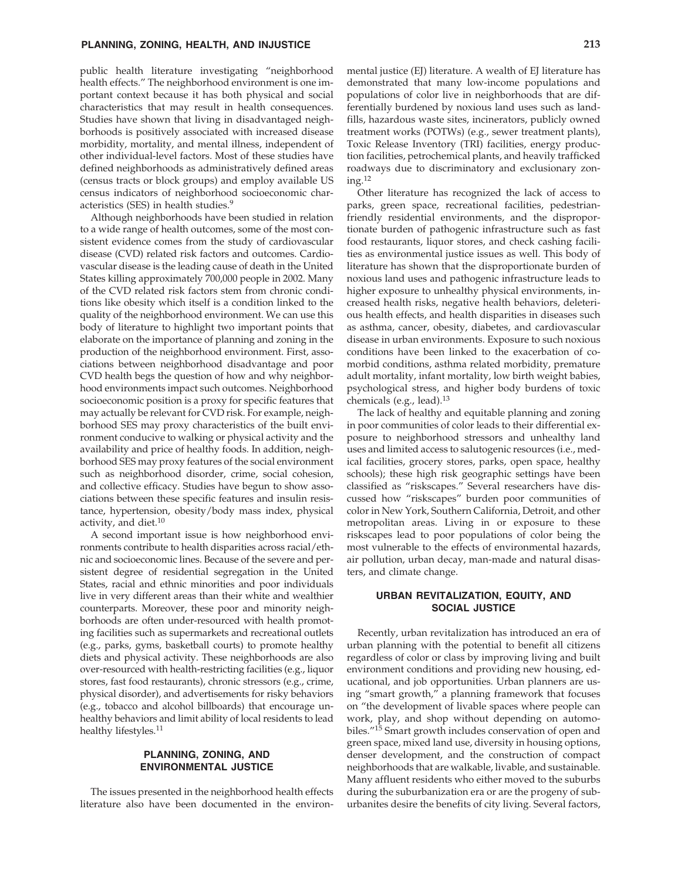#### **PLANNING, ZONING, HEALTH, AND INJUSTICE 213**

public health literature investigating "neighborhood health effects." The neighborhood environment is one important context because it has both physical and social characteristics that may result in health consequences. Studies have shown that living in disadvantaged neighborhoods is positively associated with increased disease morbidity, mortality, and mental illness, independent of other individual-level factors. Most of these studies have defined neighborhoods as administratively defined areas (census tracts or block groups) and employ available US census indicators of neighborhood socioeconomic characteristics (SES) in health studies.9

Although neighborhoods have been studied in relation to a wide range of health outcomes, some of the most consistent evidence comes from the study of cardiovascular disease (CVD) related risk factors and outcomes. Cardiovascular disease is the leading cause of death in the United States killing approximately 700,000 people in 2002. Many of the CVD related risk factors stem from chronic conditions like obesity which itself is a condition linked to the quality of the neighborhood environment. We can use this body of literature to highlight two important points that elaborate on the importance of planning and zoning in the production of the neighborhood environment. First, associations between neighborhood disadvantage and poor CVD health begs the question of how and why neighborhood environments impact such outcomes. Neighborhood socioeconomic position is a proxy for specific features that may actually be relevant for CVD risk. For example, neighborhood SES may proxy characteristics of the built environment conducive to walking or physical activity and the availability and price of healthy foods. In addition, neighborhood SES may proxy features of the social environment such as neighborhood disorder, crime, social cohesion, and collective efficacy. Studies have begun to show associations between these specific features and insulin resistance, hypertension, obesity/body mass index, physical activity, and diet.10

A second important issue is how neighborhood environments contribute to health disparities across racial/ethnic and socioeconomic lines. Because of the severe and persistent degree of residential segregation in the United States, racial and ethnic minorities and poor individuals live in very different areas than their white and wealthier counterparts. Moreover, these poor and minority neighborhoods are often under-resourced with health promoting facilities such as supermarkets and recreational outlets (e.g., parks, gyms, basketball courts) to promote healthy diets and physical activity. These neighborhoods are also over-resourced with health-restricting facilities (e.g., liquor stores, fast food restaurants), chronic stressors (e.g., crime, physical disorder), and advertisements for risky behaviors (e.g., tobacco and alcohol billboards) that encourage unhealthy behaviors and limit ability of local residents to lead healthy lifestyles.<sup>11</sup>

## **PLANNING, ZONING, AND ENVIRONMENTAL JUSTICE**

The issues presented in the neighborhood health effects literature also have been documented in the environmental justice (EJ) literature. A wealth of EJ literature has demonstrated that many low-income populations and populations of color live in neighborhoods that are differentially burdened by noxious land uses such as landfills, hazardous waste sites, incinerators, publicly owned treatment works (POTWs) (e.g., sewer treatment plants), Toxic Release Inventory (TRI) facilities, energy production facilities, petrochemical plants, and heavily trafficked roadways due to discriminatory and exclusionary zon $ing.<sup>12</sup>$ 

Other literature has recognized the lack of access to parks, green space, recreational facilities, pedestrianfriendly residential environments, and the disproportionate burden of pathogenic infrastructure such as fast food restaurants, liquor stores, and check cashing facilities as environmental justice issues as well. This body of literature has shown that the disproportionate burden of noxious land uses and pathogenic infrastructure leads to higher exposure to unhealthy physical environments, increased health risks, negative health behaviors, deleterious health effects, and health disparities in diseases such as asthma, cancer, obesity, diabetes, and cardiovascular disease in urban environments. Exposure to such noxious conditions have been linked to the exacerbation of comorbid conditions, asthma related morbidity, premature adult mortality, infant mortality, low birth weight babies, psychological stress, and higher body burdens of toxic chemicals (e.g., lead).<sup>13</sup>

The lack of healthy and equitable planning and zoning in poor communities of color leads to their differential exposure to neighborhood stressors and unhealthy land uses and limited access to salutogenic resources (i.e., medical facilities, grocery stores, parks, open space, healthy schools); these high risk geographic settings have been classified as "riskscapes." Several researchers have discussed how "riskscapes" burden poor communities of color in New York, Southern California, Detroit, and other metropolitan areas. Living in or exposure to these riskscapes lead to poor populations of color being the most vulnerable to the effects of environmental hazards, air pollution, urban decay, man-made and natural disasters, and climate change.

# **URBAN REVITALIZATION, EQUITY, AND SOCIAL JUSTICE**

Recently, urban revitalization has introduced an era of urban planning with the potential to benefit all citizens regardless of color or class by improving living and built environment conditions and providing new housing, educational, and job opportunities. Urban planners are using "smart growth," a planning framework that focuses on "the development of livable spaces where people can work, play, and shop without depending on automobiles."15 Smart growth includes conservation of open and green space, mixed land use, diversity in housing options, denser development, and the construction of compact neighborhoods that are walkable, livable, and sustainable. Many affluent residents who either moved to the suburbs during the suburbanization era or are the progeny of suburbanites desire the benefits of city living. Several factors,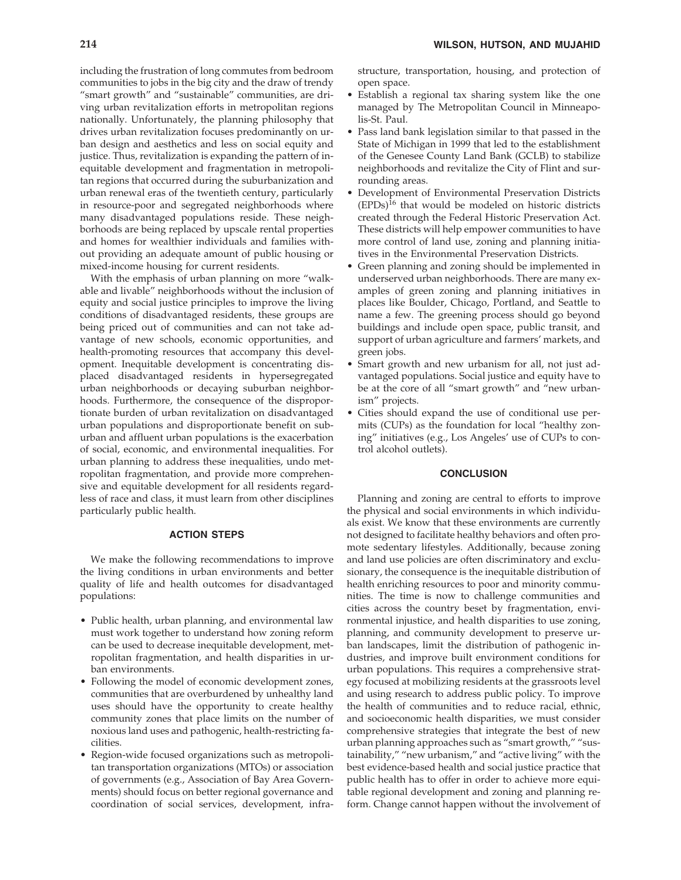including the frustration of long commutes from bedroom communities to jobs in the big city and the draw of trendy "smart growth" and "sustainable" communities, are driving urban revitalization efforts in metropolitan regions nationally. Unfortunately, the planning philosophy that drives urban revitalization focuses predominantly on urban design and aesthetics and less on social equity and justice. Thus, revitalization is expanding the pattern of inequitable development and fragmentation in metropolitan regions that occurred during the suburbanization and urban renewal eras of the twentieth century, particularly in resource-poor and segregated neighborhoods where many disadvantaged populations reside. These neighborhoods are being replaced by upscale rental properties and homes for wealthier individuals and families without providing an adequate amount of public housing or mixed-income housing for current residents.

With the emphasis of urban planning on more "walkable and livable" neighborhoods without the inclusion of equity and social justice principles to improve the living conditions of disadvantaged residents, these groups are being priced out of communities and can not take advantage of new schools, economic opportunities, and health-promoting resources that accompany this development. Inequitable development is concentrating displaced disadvantaged residents in hypersegregated urban neighborhoods or decaying suburban neighborhoods. Furthermore, the consequence of the disproportionate burden of urban revitalization on disadvantaged urban populations and disproportionate benefit on suburban and affluent urban populations is the exacerbation of social, economic, and environmental inequalities. For urban planning to address these inequalities, undo metropolitan fragmentation, and provide more comprehensive and equitable development for all residents regardless of race and class, it must learn from other disciplines particularly public health.

## **ACTION STEPS**

We make the following recommendations to improve the living conditions in urban environments and better quality of life and health outcomes for disadvantaged populations:

- Public health, urban planning, and environmental law must work together to understand how zoning reform can be used to decrease inequitable development, metropolitan fragmentation, and health disparities in urban environments.
- Following the model of economic development zones, communities that are overburdened by unhealthy land uses should have the opportunity to create healthy community zones that place limits on the number of noxious land uses and pathogenic, health-restricting facilities.
- Region-wide focused organizations such as metropolitan transportation organizations (MTOs) or association of governments (e.g., Association of Bay Area Governments) should focus on better regional governance and coordination of social services, development, infra-

structure, transportation, housing, and protection of open space.

- Establish a regional tax sharing system like the one managed by The Metropolitan Council in Minneapolis-St. Paul.
- Pass land bank legislation similar to that passed in the State of Michigan in 1999 that led to the establishment of the Genesee County Land Bank (GCLB) to stabilize neighborhoods and revitalize the City of Flint and surrounding areas.
- Development of Environmental Preservation Districts  $(EPDs)^{16}$  that would be modeled on historic districts created through the Federal Historic Preservation Act. These districts will help empower communities to have more control of land use, zoning and planning initiatives in the Environmental Preservation Districts.
- Green planning and zoning should be implemented in underserved urban neighborhoods. There are many examples of green zoning and planning initiatives in places like Boulder, Chicago, Portland, and Seattle to name a few. The greening process should go beyond buildings and include open space, public transit, and support of urban agriculture and farmers' markets, and green jobs.
- Smart growth and new urbanism for all, not just advantaged populations. Social justice and equity have to be at the core of all "smart growth" and "new urbanism" projects.
- Cities should expand the use of conditional use permits (CUPs) as the foundation for local "healthy zoning" initiatives (e.g., Los Angeles' use of CUPs to control alcohol outlets).

#### **CONCLUSION**

Planning and zoning are central to efforts to improve the physical and social environments in which individuals exist. We know that these environments are currently not designed to facilitate healthy behaviors and often promote sedentary lifestyles. Additionally, because zoning and land use policies are often discriminatory and exclusionary, the consequence is the inequitable distribution of health enriching resources to poor and minority communities. The time is now to challenge communities and cities across the country beset by fragmentation, environmental injustice, and health disparities to use zoning, planning, and community development to preserve urban landscapes, limit the distribution of pathogenic industries, and improve built environment conditions for urban populations. This requires a comprehensive strategy focused at mobilizing residents at the grassroots level and using research to address public policy. To improve the health of communities and to reduce racial, ethnic, and socioeconomic health disparities, we must consider comprehensive strategies that integrate the best of new urban planning approaches such as "smart growth," "sustainability," "new urbanism," and "active living" with the best evidence-based health and social justice practice that public health has to offer in order to achieve more equitable regional development and zoning and planning reform. Change cannot happen without the involvement of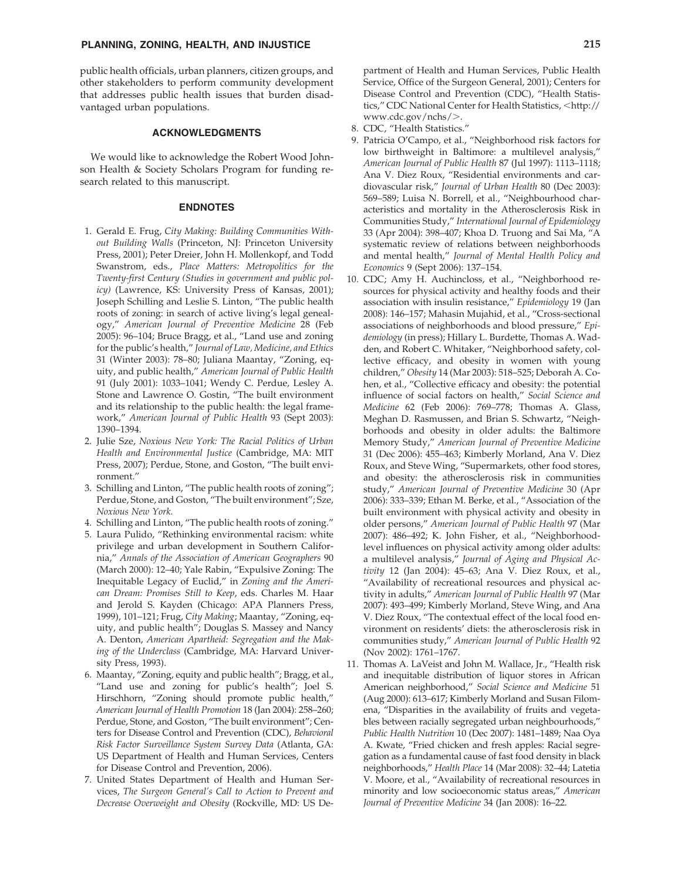## **PLANNING, ZONING, HEALTH, AND INJUSTICE 215**

public health officials, urban planners, citizen groups, and other stakeholders to perform community development that addresses public health issues that burden disadvantaged urban populations.

## **ACKNOWLEDGMENTS**

We would like to acknowledge the Robert Wood Johnson Health & Society Scholars Program for funding research related to this manuscript.

#### **ENDNOTES**

- 1. Gerald E. Frug, *City Making: Building Communities Without Building Walls* (Princeton, NJ: Princeton University Press, 2001); Peter Dreier, John H. Mollenkopf, and Todd Swanstrom, eds., *Place Matters: Metropolitics for the Twenty-first Century (Studies in government and public policy)* (Lawrence, KS: University Press of Kansas, 2001); Joseph Schilling and Leslie S. Linton, "The public health roots of zoning: in search of active living's legal genealogy," *American Journal of Preventive Medicine* 28 (Feb 2005): 96–104; Bruce Bragg, et al., "Land use and zoning for the public's health," *Journal of Law, Medicine, and Ethics* 31 (Winter 2003): 78–80; Juliana Maantay, "Zoning, equity, and public health," *American Journal of Public Health* 91 (July 2001): 1033–1041; Wendy C. Perdue, Lesley A. Stone and Lawrence O. Gostin, "The built environment and its relationship to the public health: the legal framework," *American Journal of Public Health* 93 (Sept 2003): 1390–1394.
- 2. Julie Sze, *Noxious New York: The Racial Politics of Urban Health and Environmental Justice* (Cambridge, MA: MIT Press, 2007); Perdue, Stone, and Goston, "The built environment."
- 3. Schilling and Linton, "The public health roots of zoning"; Perdue, Stone, and Goston, "The built environment"; Sze, *Noxious New York.*
- 4. Schilling and Linton, "The public health roots of zoning."
- 5. Laura Pulido, "Rethinking environmental racism: white privilege and urban development in Southern California," *Annals of the Association of American Geographers* 90 (March 2000): 12–40; Yale Rabin, "Expulsive Zoning: The Inequitable Legacy of Euclid," in *Zoning and the American Dream: Promises Still to Keep*, eds. Charles M. Haar and Jerold S. Kayden (Chicago: APA Planners Press, 1999), 101–121; Frug, *City Making*; Maantay, "Zoning, equity, and public health"; Douglas S. Massey and Nancy A. Denton, *American Apartheid: Segregation and the Making of the Underclass* (Cambridge, MA: Harvard University Press, 1993).
- 6. Maantay, "Zoning, equity and public health"; Bragg, et al., "Land use and zoning for public's health"; Joel S. Hirschhorn, "Zoning should promote public health," *American Journal of Health Promotion* 18 (Jan 2004): 258–260; Perdue, Stone, and Goston, "The built environment"; Centers for Disease Control and Prevention (CDC), *Behavioral Risk Factor Surveillance System Survey Data* (Atlanta, GA: US Department of Health and Human Services, Centers for Disease Control and Prevention, 2006).
- 7. United States Department of Health and Human Services, *The Surgeon General's Call to Action to Prevent and Decrease Overweight and Obesity* (Rockville, MD: US De-

partment of Health and Human Services, Public Health Service, Office of the Surgeon General, 2001); Centers for Disease Control and Prevention (CDC), "Health Statistics," CDC National Center for Health Statistics, <http:// www.cdc.gov/nchs/>.

- 8. CDC, "Health Statistics."
- 9. Patricia O'Campo, et al., "Neighborhood risk factors for low birthweight in Baltimore: a multilevel analysis," *American Journal of Public Health* 87 (Jul 1997): 1113–1118; Ana V. Diez Roux, "Residential environments and cardiovascular risk," *Journal of Urban Health* 80 (Dec 2003): 569–589; Luisa N. Borrell, et al., "Neighbourhood characteristics and mortality in the Atherosclerosis Risk in Communities Study," *International Journal of Epidemiology* 33 (Apr 2004): 398–407; Khoa D. Truong and Sai Ma, "A systematic review of relations between neighborhoods and mental health," *Journal of Mental Health Policy and Economics* 9 (Sept 2006): 137–154.
- 10. CDC; Amy H. Auchincloss, et al., "Neighborhood resources for physical activity and healthy foods and their association with insulin resistance," *Epidemiology* 19 (Jan 2008): 146–157; Mahasin Mujahid, et al., "Cross-sectional associations of neighborhoods and blood pressure," *Epidemiology* (in press); Hillary L. Burdette, Thomas A. Wadden, and Robert C. Whitaker, "Neighborhood safety, collective efficacy, and obesity in women with young children," *Obesity* 14 (Mar 2003): 518–525; Deborah A. Cohen, et al., "Collective efficacy and obesity: the potential influence of social factors on health," *Social Science and Medicine* 62 (Feb 2006): 769–778; Thomas A. Glass, Meghan D. Rasmussen, and Brian S. Schwartz, "Neighborhoods and obesity in older adults: the Baltimore Memory Study," *American Journal of Preventive Medicine* 31 (Dec 2006): 455–463; Kimberly Morland, Ana V. Diez Roux, and Steve Wing, "Supermarkets, other food stores, and obesity: the atherosclerosis risk in communities study," *American Journal of Preventive Medicine* 30 (Apr 2006): 333–339; Ethan M. Berke, et al., "Association of the built environment with physical activity and obesity in older persons," *American Journal of Public Health* 97 (Mar 2007): 486–492; K. John Fisher, et al., "Neighborhoodlevel influences on physical activity among older adults: a multilevel analysis," *Journal of Aging and Physical Activity* 12 (Jan 2004): 45–63; Ana V. Diez Roux, et al., "Availability of recreational resources and physical activity in adults," *American Journal of Public Health* 97 (Mar 2007): 493–499; Kimberly Morland, Steve Wing, and Ana V. Diez Roux, "The contextual effect of the local food environment on residents' diets: the atherosclerosis risk in communities study," *American Journal of Public Health* 92 (Nov 2002): 1761–1767.
- 11. Thomas A. LaVeist and John M. Wallace, Jr., "Health risk and inequitable distribution of liquor stores in African American neighborhood," *Social Science and Medicine* 51 (Aug 2000): 613–617; Kimberly Morland and Susan Filomena, "Disparities in the availability of fruits and vegetables between racially segregated urban neighbourhoods," *Public Health Nutrition* 10 (Dec 2007): 1481–1489; Naa Oya A. Kwate, "Fried chicken and fresh apples: Racial segregation as a fundamental cause of fast food density in black neighborhoods," *Health Place* 14 (Mar 2008): 32–44; Latetia V. Moore, et al., "Availability of recreational resources in minority and low socioeconomic status areas," *American Journal of Preventive Medicine* 34 (Jan 2008): 16–22.